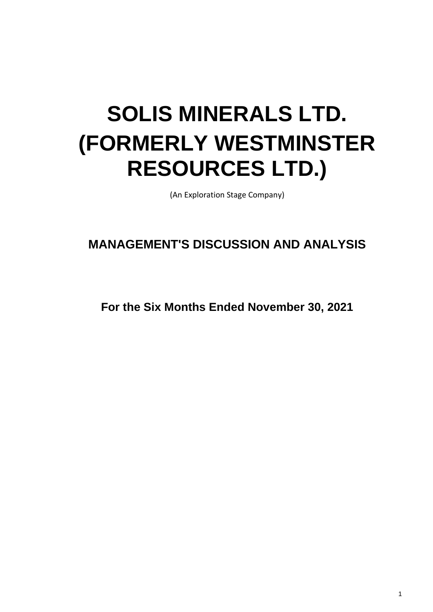# **SOLIS MINERALS LTD. (FORMERLY WESTMINSTER RESOURCES LTD.)**

(An Exploration Stage Company)

# **MANAGEMENT'S DISCUSSION AND ANALYSIS**

**For the Six Months Ended November 30, 2021**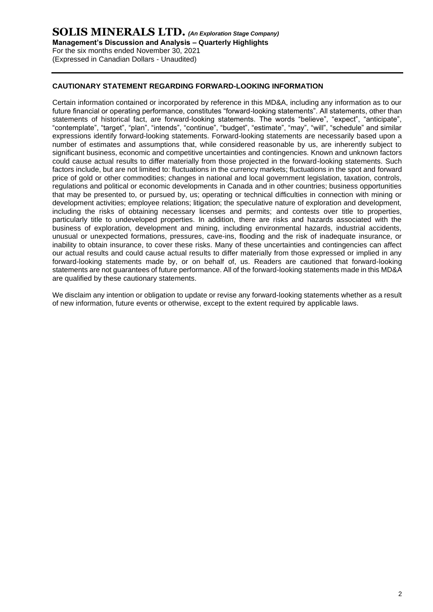#### **SOLIS MINERALS LTD.** *(An Exploration Stage Company)* **Management's Discussion and Analysis – Quarterly Highlights** For the six months ended November 30, 2021 (Expressed in Canadian Dollars - Unaudited)

# **CAUTIONARY STATEMENT REGARDING FORWARD-LOOKING INFORMATION**

Certain information contained or incorporated by reference in this MD&A, including any information as to our future financial or operating performance, constitutes "forward-looking statements". All statements, other than statements of historical fact, are forward-looking statements. The words "believe", "expect", "anticipate", "contemplate", "target", "plan", "intends", "continue", "budget", "estimate", "may", "will", "schedule" and similar expressions identify forward-looking statements. Forward-looking statements are necessarily based upon a number of estimates and assumptions that, while considered reasonable by us, are inherently subject to significant business, economic and competitive uncertainties and contingencies. Known and unknown factors could cause actual results to differ materially from those projected in the forward-looking statements. Such factors include, but are not limited to: fluctuations in the currency markets; fluctuations in the spot and forward price of gold or other commodities; changes in national and local government legislation, taxation, controls, regulations and political or economic developments in Canada and in other countries; business opportunities that may be presented to, or pursued by, us; operating or technical difficulties in connection with mining or development activities; employee relations; litigation; the speculative nature of exploration and development, including the risks of obtaining necessary licenses and permits; and contests over title to properties, particularly title to undeveloped properties. In addition, there are risks and hazards associated with the business of exploration, development and mining, including environmental hazards, industrial accidents, unusual or unexpected formations, pressures, cave-ins, flooding and the risk of inadequate insurance, or inability to obtain insurance, to cover these risks. Many of these uncertainties and contingencies can affect our actual results and could cause actual results to differ materially from those expressed or implied in any forward-looking statements made by, or on behalf of, us. Readers are cautioned that forward-looking statements are not guarantees of future performance. All of the forward-looking statements made in this MD&A are qualified by these cautionary statements.

We disclaim any intention or obligation to update or revise any forward-looking statements whether as a result of new information, future events or otherwise, except to the extent required by applicable laws.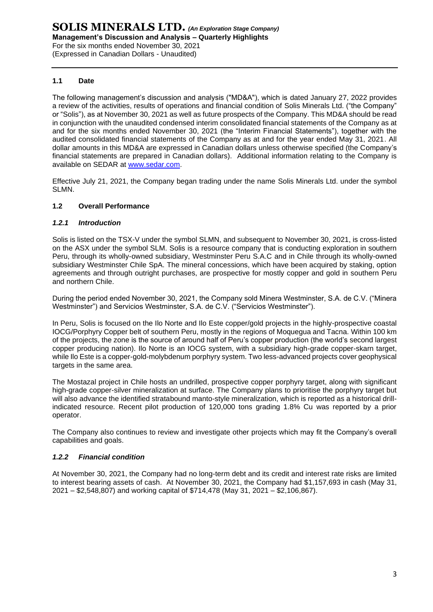# **1.1 Date**

The following management's discussion and analysis ("MD&A"), which is dated January 27, 2022 provides a review of the activities, results of operations and financial condition of Solis Minerals Ltd. ("the Company" or "Solis"), as at November 30, 2021 as well as future prospects of the Company. This MD&A should be read in conjunction with the unaudited condensed interim consolidated financial statements of the Company as at and for the six months ended November 30, 2021 (the "Interim Financial Statements"), together with the audited consolidated financial statements of the Company as at and for the year ended May 31, 2021. All dollar amounts in this MD&A are expressed in Canadian dollars unless otherwise specified (the Company's financial statements are prepared in Canadian dollars). Additional information relating to the Company is available on SEDAR at [www.sedar.com.](http://www.sedar.com/)

Effective July 21, 2021, the Company began trading under the name Solis Minerals Ltd. under the symbol SLMN.

# **1.2 Overall Performance**

#### *1.2.1 Introduction*

Solis is listed on the TSX-V under the symbol SLMN, and subsequent to November 30, 2021, is cross-listed on the ASX under the symbol SLM. Solis is a resource company that is conducting exploration in southern Peru, through its wholly-owned subsidiary, Westminster Peru S.A.C and in Chile through its wholly-owned subsidiary Westminster Chile SpA. The mineral concessions, which have been acquired by staking, option agreements and through outright purchases, are prospective for mostly copper and gold in southern Peru and northern Chile.

During the period ended November 30, 2021, the Company sold Minera Westminster, S.A. de C.V. ("Minera Westminster") and Servicios Westminster, S.A. de C.V. ("Servicios Westminster").

In Peru, Solis is focused on the Ilo Norte and Ilo Este copper/gold projects in the highly-prospective coastal IOCG/Porphyry Copper belt of southern Peru, mostly in the regions of Moquegua and Tacna. Within 100 km of the projects, the zone is the source of around half of Peru's copper production (the world's second largest copper producing nation). Ilo Norte is an IOCG system, with a subsidiary high-grade copper-skarn target, while Ilo Este is a copper-gold-molybdenum porphyry system. Two less-advanced projects cover geophysical targets in the same area.

The Mostazal project in Chile hosts an undrilled, prospective copper porphyry target, along with significant high-grade copper-silver mineralization at surface. The Company plans to prioritise the porphyry target but will also advance the identified stratabound manto-style mineralization, which is reported as a historical drillindicated resource. Recent pilot production of 120,000 tons grading 1.8% Cu was reported by a prior operator.

The Company also continues to review and investigate other projects which may fit the Company's overall capabilities and goals.

#### *1.2.2 Financial condition*

At November 30, 2021, the Company had no long-term debt and its credit and interest rate risks are limited to interest bearing assets of cash. At November 30, 2021, the Company had \$1,157,693 in cash (May 31, 2021 – \$2,548,807) and working capital of \$714,478 (May 31, 2021 – \$2,106,867).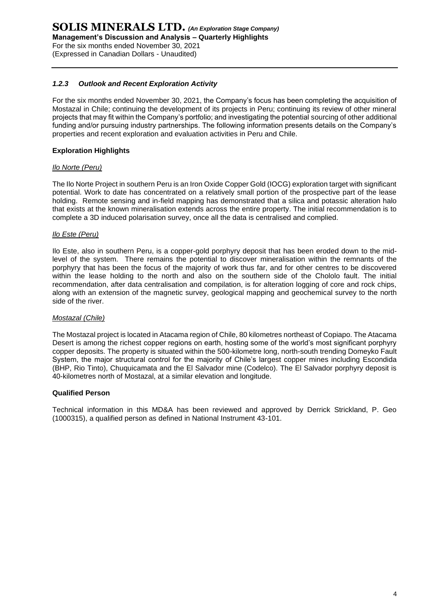# *1.2.3 Outlook and Recent Exploration Activity*

For the six months ended November 30, 2021, the Company's focus has been completing the acquisition of Mostazal in Chile; continuing the development of its projects in Peru; continuing its review of other mineral projects that may fit within the Company's portfolio; and investigating the potential sourcing of other additional funding and/or pursuing industry partnerships. The following information presents details on the Company's properties and recent exploration and evaluation activities in Peru and Chile.

#### **Exploration Highlights**

#### *Ilo Norte (Peru)*

The Ilo Norte Project in southern Peru is an Iron Oxide Copper Gold (IOCG) exploration target with significant potential. Work to date has concentrated on a relatively small portion of the prospective part of the lease holding. Remote sensing and in-field mapping has demonstrated that a silica and potassic alteration halo that exists at the known mineralisation extends across the entire property. The initial recommendation is to complete a 3D induced polarisation survey, once all the data is centralised and complied.

#### *Ilo Este (Peru)*

Ilo Este, also in southern Peru, is a copper-gold porphyry deposit that has been eroded down to the midlevel of the system. There remains the potential to discover mineralisation within the remnants of the porphyry that has been the focus of the majority of work thus far, and for other centres to be discovered within the lease holding to the north and also on the southern side of the Chololo fault. The initial recommendation, after data centralisation and compilation, is for alteration logging of core and rock chips, along with an extension of the magnetic survey, geological mapping and geochemical survey to the north side of the river.

#### *Mostazal (Chile)*

The Mostazal project is located in Atacama region of Chile, 80 kilometres northeast of Copiapo. The Atacama Desert is among the richest copper regions on earth, hosting some of the world's most significant porphyry copper deposits. The property is situated within the 500-kilometre long, north-south trending Domeyko Fault System, the major structural control for the majority of Chile's largest copper mines including Escondida (BHP, Rio Tinto), Chuquicamata and the El Salvador mine (Codelco). The El Salvador porphyry deposit is 40-kilometres north of Mostazal, at a similar elevation and longitude.

#### **Qualified Person**

Technical information in this MD&A has been reviewed and approved by Derrick Strickland, P. Geo (1000315), a qualified person as defined in National Instrument 43-101.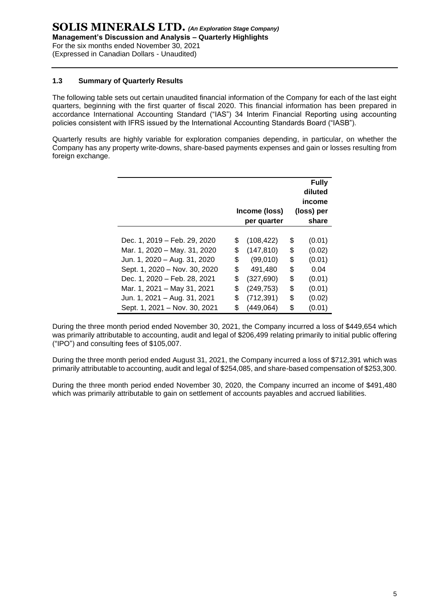#### **1.3 Summary of Quarterly Results**

The following table sets out certain unaudited financial information of the Company for each of the last eight quarters, beginning with the first quarter of fiscal 2020. This financial information has been prepared in accordance International Accounting Standard ("IAS") 34 Interim Financial Reporting using accounting policies consistent with IFRS issued by the International Accounting Standards Board ("IASB").

Quarterly results are highly variable for exploration companies depending, in particular, on whether the Company has any property write-downs, share-based payments expenses and gain or losses resulting from foreign exchange.

|                               | Income (loss)<br>per quarter | <b>Fully</b><br>diluted<br>income<br>(loss) per<br>share |
|-------------------------------|------------------------------|----------------------------------------------------------|
| Dec. 1, 2019 - Feb. 29, 2020  | \$<br>(108, 422)             | \$<br>(0.01)                                             |
| Mar. 1, 2020 - May. 31, 2020  | \$<br>(147, 810)             | \$<br>(0.02)                                             |
| Jun. 1, 2020 - Aug. 31, 2020  | \$<br>(99,010)               | \$<br>(0.01)                                             |
| Sept. 1, 2020 - Nov. 30, 2020 | \$<br>491,480                | \$<br>0.04                                               |
| Dec. 1, 2020 - Feb. 28, 2021  | \$<br>(327, 690)             | \$<br>(0.01)                                             |
| Mar. 1, 2021 - May 31, 2021   | \$<br>(249, 753)             | \$<br>(0.01)                                             |
| Jun. 1, 2021 - Aug. 31, 2021  | \$<br>(712, 391)             | \$<br>(0.02)                                             |
| Sept. 1, 2021 – Nov. 30, 2021 | \$<br>(449, 064)             | \$<br>(0.01)                                             |

During the three month period ended November 30, 2021, the Company incurred a loss of \$449,654 which was primarily attributable to accounting, audit and legal of \$206,499 relating primarily to initial public offering ("IPO") and consulting fees of \$105,007.

During the three month period ended August 31, 2021, the Company incurred a loss of \$712,391 which was primarily attributable to accounting, audit and legal of \$254,085, and share-based compensation of \$253,300.

During the three month period ended November 30, 2020, the Company incurred an income of \$491,480 which was primarily attributable to gain on settlement of accounts payables and accrued liabilities.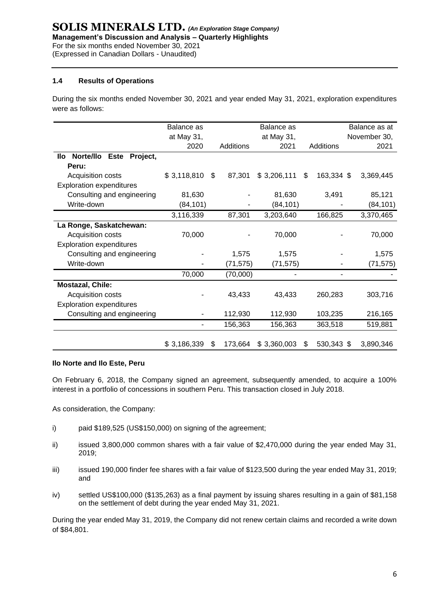#### **1.4 Results of Operations**

During the six months ended November 30, 2021 and year ended May 31, 2021, exploration expenditures were as follows:

|                                   | Balance as        |                     |           |             |           | Balance as at |              |
|-----------------------------------|-------------------|---------------------|-----------|-------------|-----------|---------------|--------------|
|                                   | at May 31,        |                     |           | at May 31,  |           |               | November 30, |
|                                   | 2020              |                     | Additions | 2021        |           | Additions     | 2021         |
| Norte/llo Este<br>Project,<br>llo |                   |                     |           |             |           |               |              |
| Peru:                             |                   |                     |           |             |           |               |              |
| Acquisition costs                 | \$3,118,810<br>\$ |                     | 87,301    | \$3,206,111 | S.        | 163,334 \$    | 3,369,445    |
| <b>Exploration expenditures</b>   |                   |                     |           |             |           |               |              |
| Consulting and engineering        | 81,630            |                     |           | 81,630      |           | 3,491         | 85,121       |
| Write-down                        | (84, 101)         |                     |           | (84, 101)   |           |               | (84, 101)    |
|                                   | 3,116,339         | 87,301<br>3,203,640 |           | 166,825     | 3,370,465 |               |              |
| La Ronge, Saskatchewan:           |                   |                     |           |             |           |               |              |
| Acquisition costs                 | 70,000            |                     |           | 70,000      |           |               | 70,000       |
| <b>Exploration expenditures</b>   |                   |                     |           |             |           |               |              |
| Consulting and engineering        |                   |                     | 1,575     | 1,575       |           |               | 1,575        |
| Write-down                        |                   |                     | (71, 575) | (71, 575)   |           |               | (71, 575)    |
|                                   | 70,000            |                     | (70,000)  |             |           |               |              |
| Mostazal, Chile:                  |                   |                     |           |             |           |               |              |
| Acquisition costs                 |                   |                     | 43,433    | 43,433      | 260,283   |               | 303,716      |
| <b>Exploration expenditures</b>   |                   |                     |           |             |           |               |              |
| Consulting and engineering        |                   |                     | 112,930   | 112,930     | 103,235   |               | 216,165      |
|                                   | ۰                 |                     | 156,363   | 156,363     |           | 363,518       | 519,881      |
|                                   |                   |                     |           |             |           |               |              |
|                                   | \$3,186,339       | \$                  | 173,664   | \$3,360,003 | \$.       | 530,343 \$    | 3,890,346    |

#### **Ilo Norte and Ilo Este, Peru**

On February 6, 2018, the Company signed an agreement, subsequently amended, to acquire a 100% interest in a portfolio of concessions in southern Peru. This transaction closed in July 2018.

As consideration, the Company:

- i) paid \$189,525 (US\$150,000) on signing of the agreement;
- ii) issued 3,800,000 common shares with a fair value of \$2,470,000 during the year ended May 31, 2019;
- iii) issued 190,000 finder fee shares with a fair value of \$123,500 during the year ended May 31, 2019; and
- iv) settled US\$100,000 (\$135,263) as a final payment by issuing shares resulting in a gain of \$81,158 on the settlement of debt during the year ended May 31, 2021.

During the year ended May 31, 2019, the Company did not renew certain claims and recorded a write down of \$84,801.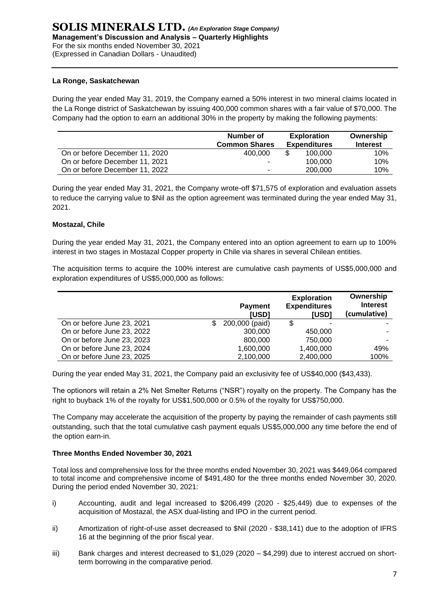#### **La Ronge, Saskatchewan**

During the year ended May 31, 2019, the Company earned a 50% interest in two mineral claims located in the La Ronge district of Saskatchewan by issuing 400,000 common shares with a fair value of \$70,000. The Company had the option to earn an additional 30% in the property by making the following payments:

|                                | Number of<br><b>Common Shares</b> | <b>Exploration</b><br><b>Expenditures</b> | Ownership<br><b>Interest</b> |
|--------------------------------|-----------------------------------|-------------------------------------------|------------------------------|
| On or before December 11, 2020 | 400.000                           | 100.000                                   | 10%                          |
| On or before December 11, 2021 | -                                 | 100.000                                   | 10%                          |
| On or before December 11, 2022 | -                                 | 200,000                                   | 10%                          |

During the year ended May 31, 2021, the Company wrote-off \$71,575 of exploration and evaluation assets to reduce the carrying value to \$Nil as the option agreement was terminated during the year ended May 31, 2021.

#### **Mostazal, Chile**

During the year ended May 31, 2021, the Company entered into an option agreement to earn up to 100% interest in two stages in Mostazal Copper property in Chile via shares in several Chilean entities.

The acquisition terms to acquire the 100% interest are cumulative cash payments of US\$5,000,000 and exploration expenditures of US\$5,000,000 as follows:

|                            | <b>Payment</b><br><b>IUSD1</b> | <b>Exploration</b><br><b>Expenditures</b><br><b>IUSDI</b> | Ownership<br><b>Interest</b><br>(cumulative) |
|----------------------------|--------------------------------|-----------------------------------------------------------|----------------------------------------------|
| On or before June 23, 2021 | 200,000 (paid)                 | \$                                                        |                                              |
| On or before June 23, 2022 | 300,000                        | 450,000                                                   |                                              |
| On or before June 23, 2023 | 800,000                        | 750,000                                                   |                                              |
| On or before June 23, 2024 | 1,600,000                      | 1,400,000                                                 | 49%                                          |
| On or before June 23, 2025 | 2,100,000                      | 2,400,000                                                 | 100%                                         |

During the year ended May 31, 2021, the Company paid an exclusivity fee of US\$40,000 (\$43,433).

The optionors will retain a 2% Net Smelter Returns ("NSR") royalty on the property. The Company has the right to buyback 1% of the royalty for US\$1,500,000 or 0.5% of the royalty for US\$750,000.

The Company may accelerate the acquisition of the property by paying the remainder of cash payments still outstanding, such that the total cumulative cash payment equals US\$5,000,000 any time before the end of the option earn-in.

#### **Three Months Ended November 30, 2021**

Total loss and comprehensive loss for the three months ended November 30, 2021 was \$449,064 compared to total income and comprehensive income of \$491,480 for the three months ended November 30, 2020. During the period ended November 30, 2021:

- i) Accounting, audit and legal increased to \$206,499 (2020 \$25,449) due to expenses of the acquisition of Mostazal, the ASX dual-listing and IPO in the current period.
- ii) Amortization of right-of-use asset decreased to \$Nil (2020 \$38,141) due to the adoption of IFRS 16 at the beginning of the prior fiscal year.
- iii) Bank charges and interest decreased to \$1,029 (2020 \$4,299) due to interest accrued on shortterm borrowing in the comparative period.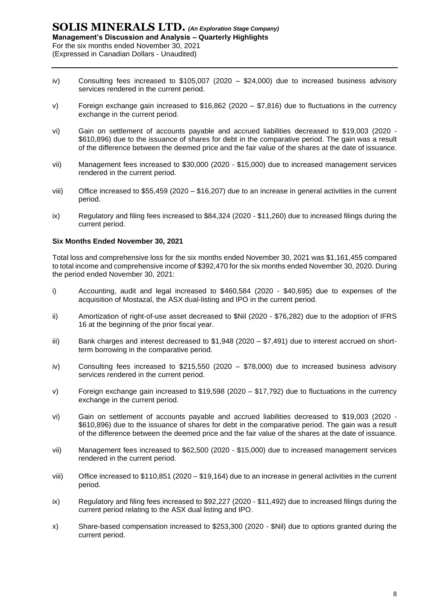- iv) Consulting fees increased to \$105,007 (2020 \$24,000) due to increased business advisory services rendered in the current period.
- v) Foreign exchange gain increased to \$16,862 (2020 \$7,816) due to fluctuations in the currency exchange in the current period.
- vi) Gain on settlement of accounts payable and accrued liabilities decreased to \$19,003 (2020 \$610,896) due to the issuance of shares for debt in the comparative period. The gain was a result of the difference between the deemed price and the fair value of the shares at the date of issuance.
- vii) Management fees increased to \$30,000 (2020 \$15,000) due to increased management services rendered in the current period.
- viii) Office increased to \$55,459 (2020 \$16,207) due to an increase in general activities in the current period.
- ix) Regulatory and filing fees increased to \$84,324 (2020 \$11,260) due to increased filings during the current period.

#### **Six Months Ended November 30, 2021**

Total loss and comprehensive loss for the six months ended November 30, 2021 was \$1,161,455 compared to total income and comprehensive income of \$392,470 for the six months ended November 30, 2020. During the period ended November 30, 2021:

- i) Accounting, audit and legal increased to \$460,584 (2020 \$40,695) due to expenses of the acquisition of Mostazal, the ASX dual-listing and IPO in the current period.
- ii) Amortization of right-of-use asset decreased to \$Nil (2020 \$76,282) due to the adoption of IFRS 16 at the beginning of the prior fiscal year.
- iii) Bank charges and interest decreased to \$1,948 (2020 \$7,491) due to interest accrued on shortterm borrowing in the comparative period.
- iv) Consulting fees increased to \$215,550 (2020 \$78,000) due to increased business advisory services rendered in the current period.
- v) Foreign exchange gain increased to \$19,598 (2020 \$17,792) due to fluctuations in the currency exchange in the current period.
- vi) Gain on settlement of accounts payable and accrued liabilities decreased to \$19,003 (2020 \$610,896) due to the issuance of shares for debt in the comparative period. The gain was a result of the difference between the deemed price and the fair value of the shares at the date of issuance.
- vii) Management fees increased to \$62,500 (2020 \$15,000) due to increased management services rendered in the current period.
- viii) Office increased to \$110,851 (2020 \$19,164) due to an increase in general activities in the current period.
- ix) Regulatory and filing fees increased to \$92,227 (2020 \$11,492) due to increased filings during the current period relating to the ASX dual listing and IPO.
- x) Share-based compensation increased to \$253,300 (2020 \$Nil) due to options granted during the current period.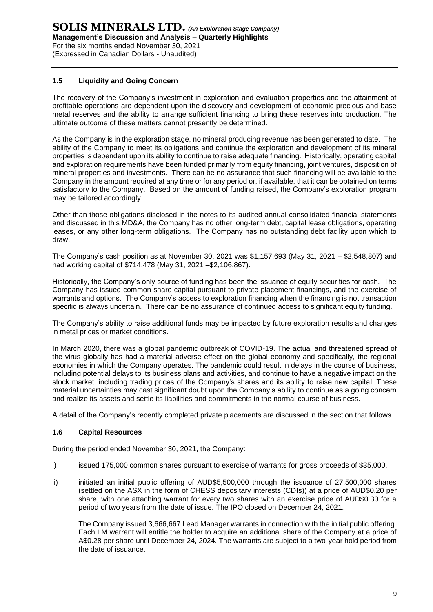# **1.5 Liquidity and Going Concern**

The recovery of the Company's investment in exploration and evaluation properties and the attainment of profitable operations are dependent upon the discovery and development of economic precious and base metal reserves and the ability to arrange sufficient financing to bring these reserves into production. The ultimate outcome of these matters cannot presently be determined.

As the Company is in the exploration stage, no mineral producing revenue has been generated to date. The ability of the Company to meet its obligations and continue the exploration and development of its mineral properties is dependent upon its ability to continue to raise adequate financing. Historically, operating capital and exploration requirements have been funded primarily from equity financing, joint ventures, disposition of mineral properties and investments. There can be no assurance that such financing will be available to the Company in the amount required at any time or for any period or, if available, that it can be obtained on terms satisfactory to the Company. Based on the amount of funding raised, the Company's exploration program may be tailored accordingly.

Other than those obligations disclosed in the notes to its audited annual consolidated financial statements and discussed in this MD&A, the Company has no other long-term debt, capital lease obligations, operating leases, or any other long-term obligations. The Company has no outstanding debt facility upon which to draw.

The Company's cash position as at November 30, 2021 was \$1,157,693 (May 31, 2021 – \$2,548,807) and had working capital of \$714,478 (May 31, 2021 –\$2,106,867).

Historically, the Company's only source of funding has been the issuance of equity securities for cash. The Company has issued common share capital pursuant to private placement financings, and the exercise of warrants and options. The Company's access to exploration financing when the financing is not transaction specific is always uncertain. There can be no assurance of continued access to significant equity funding.

The Company's ability to raise additional funds may be impacted by future exploration results and changes in metal prices or market conditions.

In March 2020, there was a global pandemic outbreak of COVID-19. The actual and threatened spread of the virus globally has had a material adverse effect on the global economy and specifically, the regional economies in which the Company operates. The pandemic could result in delays in the course of business, including potential delays to its business plans and activities, and continue to have a negative impact on the stock market, including trading prices of the Company's shares and its ability to raise new capital. These material uncertainties may cast significant doubt upon the Company's ability to continue as a going concern and realize its assets and settle its liabilities and commitments in the normal course of business.

A detail of the Company's recently completed private placements are discussed in the section that follows.

#### **1.6 Capital Resources**

During the period ended November 30, 2021, the Company:

- i) issued 175,000 common shares pursuant to exercise of warrants for gross proceeds of \$35,000.
- ii) initiated an initial public offering of AUD\$5,500,000 through the issuance of 27,500,000 shares (settled on the ASX in the form of CHESS depositary interests (CDIs)) at a price of AUD\$0.20 per share, with one attaching warrant for every two shares with an exercise price of AUD\$0.30 for a period of two years from the date of issue. The IPO closed on December 24, 2021.

The Company issued 3,666,667 Lead Manager warrants in connection with the initial public offering. Each LM warrant will entitle the holder to acquire an additional share of the Company at a price of A\$0.28 per share until December 24, 2024. The warrants are subject to a two-year hold period from the date of issuance.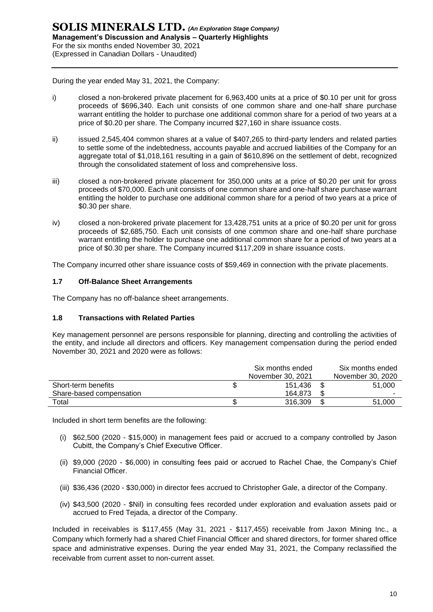During the year ended May 31, 2021, the Company:

- i) closed a non-brokered private placement for 6,963,400 units at a price of \$0.10 per unit for gross proceeds of \$696,340. Each unit consists of one common share and one-half share purchase warrant entitling the holder to purchase one additional common share for a period of two years at a price of \$0.20 per share. The Company incurred \$27,160 in share issuance costs.
- ii) issued 2,545,404 common shares at a value of \$407,265 to third-party lenders and related parties to settle some of the indebtedness, accounts payable and accrued liabilities of the Company for an aggregate total of \$1,018,161 resulting in a gain of \$610,896 on the settlement of debt, recognized through the consolidated statement of loss and comprehensive loss.
- iii) closed a non-brokered private placement for 350,000 units at a price of \$0.20 per unit for gross proceeds of \$70,000. Each unit consists of one common share and one-half share purchase warrant entitling the holder to purchase one additional common share for a period of two years at a price of \$0.30 per share.
- iv) closed a non-brokered private placement for 13,428,751 units at a price of \$0.20 per unit for gross proceeds of \$2,685,750. Each unit consists of one common share and one-half share purchase warrant entitling the holder to purchase one additional common share for a period of two years at a price of \$0.30 per share. The Company incurred \$117,209 in share issuance costs.

The Company incurred other share issuance costs of \$59,469 in connection with the private placements.

#### **1.7 Off-Balance Sheet Arrangements**

The Company has no off-balance sheet arrangements.

#### **1.8 Transactions with Related Parties**

Key management personnel are persons responsible for planning, directing and controlling the activities of the entity, and include all directors and officers. Key management compensation during the period ended November 30, 2021 and 2020 were as follows:

|                          | Six months ended  | Six months ended  |
|--------------------------|-------------------|-------------------|
|                          | November 30, 2021 | November 30, 2020 |
| Short-term benefits      | 151.436           | 51.000            |
| Share-based compensation | 164.873           |                   |
| Total                    | 316,309           | 51,000            |

Included in short term benefits are the following:

- (i) \$62,500 (2020 \$15,000) in management fees paid or accrued to a company controlled by Jason Cubitt, the Company's Chief Executive Officer.
- (ii) \$9,000 (2020 \$6,000) in consulting fees paid or accrued to Rachel Chae, the Company's Chief Financial Officer.
- (iii) \$36,436 (2020 \$30,000) in director fees accrued to Christopher Gale, a director of the Company.
- (iv) \$43,500 (2020 \$Nil) in consulting fees recorded under exploration and evaluation assets paid or accrued to Fred Tejada, a director of the Company.

Included in receivables is \$117,455 (May 31, 2021 - \$117,455) receivable from Jaxon Mining Inc., a Company which formerly had a shared Chief Financial Officer and shared directors, for former shared office space and administrative expenses. During the year ended May 31, 2021, the Company reclassified the receivable from current asset to non-current asset.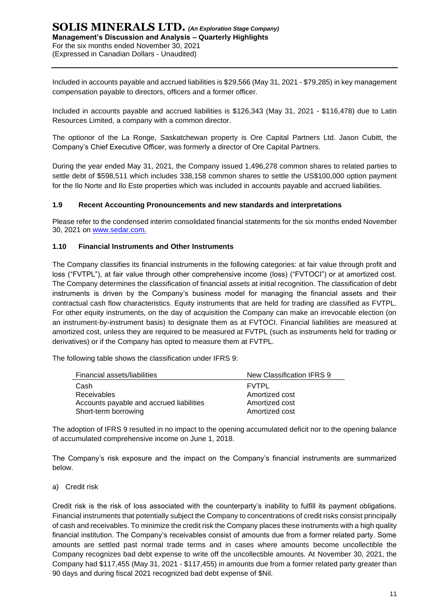Included in accounts payable and accrued liabilities is \$29,566 (May 31, 2021 - \$79,285) in key management compensation payable to directors, officers and a former officer.

Included in accounts payable and accrued liabilities is \$126,343 (May 31, 2021 - \$116,478) due to Latin Resources Limited, a company with a common director.

The optionor of the La Ronge, Saskatchewan property is Ore Capital Partners Ltd. Jason Cubitt, the Company's Chief Executive Officer, was formerly a director of Ore Capital Partners.

During the year ended May 31, 2021, the Company issued 1,496,278 common shares to related parties to settle debt of \$598,511 which includes 338,158 common shares to settle the US\$100,000 option payment for the Ilo Norte and Ilo Este properties which was included in accounts payable and accrued liabilities.

#### **1.9 Recent Accounting Pronouncements and new standards and interpretations**

Please refer to the condensed interim consolidated financial statements for the six months ended November 30, 2021 on [www.sedar.com.](http://www.sedar.com/)

# **1.10 Financial Instruments and Other Instruments**

The Company classifies its financial instruments in the following categories: at fair value through profit and loss ("FVTPL"), at fair value through other comprehensive income (loss) ("FVTOCI") or at amortized cost. The Company determines the classification of financial assets at initial recognition. The classification of debt instruments is driven by the Company's business model for managing the financial assets and their contractual cash flow characteristics. Equity instruments that are held for trading are classified as FVTPL. For other equity instruments, on the day of acquisition the Company can make an irrevocable election (on an instrument-by-instrument basis) to designate them as at FVTOCI. Financial liabilities are measured at amortized cost, unless they are required to be measured at FVTPL (such as instruments held for trading or derivatives) or if the Company has opted to measure them at FVTPL.

The following table shows the classification under IFRS 9:

| Financial assets/liabilities             | New Classification IFRS 9 |  |  |  |  |  |
|------------------------------------------|---------------------------|--|--|--|--|--|
| Cash                                     | <b>FVTPL</b>              |  |  |  |  |  |
| <b>Receivables</b>                       | Amortized cost            |  |  |  |  |  |
| Accounts payable and accrued liabilities | Amortized cost            |  |  |  |  |  |
| Short-term borrowing                     | Amortized cost            |  |  |  |  |  |

The adoption of IFRS 9 resulted in no impact to the opening accumulated deficit nor to the opening balance of accumulated comprehensive income on June 1, 2018.

The Company's risk exposure and the impact on the Company's financial instruments are summarized below.

a) Credit risk

Credit risk is the risk of loss associated with the counterparty's inability to fulfill its payment obligations. Financial instruments that potentially subject the Company to concentrations of credit risks consist principally of cash and receivables. To minimize the credit risk the Company places these instruments with a high quality financial institution. The Company's receivables consist of amounts due from a former related party. Some amounts are settled past normal trade terms and in cases where amounts become uncollectible the Company recognizes bad debt expense to write off the uncollectible amounts. At November 30, 2021, the Company had \$117,455 (May 31, 2021 - \$117,455) in amounts due from a former related party greater than 90 days and during fiscal 2021 recognized bad debt expense of \$Nil.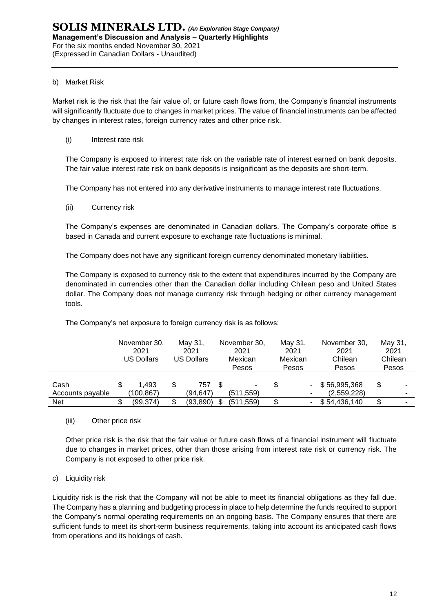#### b) Market Risk

Market risk is the risk that the fair value of, or future cash flows from, the Company's financial instruments will significantly fluctuate due to changes in market prices. The value of financial instruments can be affected by changes in interest rates, foreign currency rates and other price risk.

(i) Interest rate risk

The Company is exposed to interest rate risk on the variable rate of interest earned on bank deposits. The fair value interest rate risk on bank deposits is insignificant as the deposits are short‐term.

The Company has not entered into any derivative instruments to manage interest rate fluctuations.

(ii) Currency risk

The Company's expenses are denominated in Canadian dollars. The Company's corporate office is based in Canada and current exposure to exchange rate fluctuations is minimal.

The Company does not have any significant foreign currency denominated monetary liabilities.

The Company is exposed to currency risk to the extent that expenditures incurred by the Company are denominated in currencies other than the Canadian dollar including Chilean peso and United States dollar. The Company does not manage currency risk through hedging or other currency management tools.

|                          |    | November 30,<br>2021<br><b>US Dollars</b> | May 31,<br>2021<br><b>US Dollars</b> |     | November 30,<br>2021<br>Mexican<br>Pesos | May 31,<br>2021<br>Mexican<br>Pesos |  | November 30,<br>2021<br>Chilean<br>Pesos | May 31.<br>2021<br>Chilean<br>Pesos |  |
|--------------------------|----|-------------------------------------------|--------------------------------------|-----|------------------------------------------|-------------------------------------|--|------------------------------------------|-------------------------------------|--|
| Cash<br>Accounts payable | S  | 1.493<br>(100,867)                        | \$<br>757<br>(94.647)                | \$. | ٠<br>(511,559)                           |                                     |  | \$56,995,368<br>(2,559,228)              | \$                                  |  |
| Net                      | ъD | (99,374)                                  | \$<br>(93,890)                       | \$  | (511,559)                                | \$                                  |  | \$54,436,140                             | \$                                  |  |

The Company's net exposure to foreign currency risk is as follows:

#### (iii) Other price risk

Other price risk is the risk that the fair value or future cash flows of a financial instrument will fluctuate due to changes in market prices, other than those arising from interest rate risk or currency risk. The Company is not exposed to other price risk.

#### c) Liquidity risk

Liquidity risk is the risk that the Company will not be able to meet its financial obligations as they fall due. The Company has a planning and budgeting process in place to help determine the funds required to support the Company's normal operating requirements on an ongoing basis. The Company ensures that there are sufficient funds to meet its short-term business requirements, taking into account its anticipated cash flows from operations and its holdings of cash.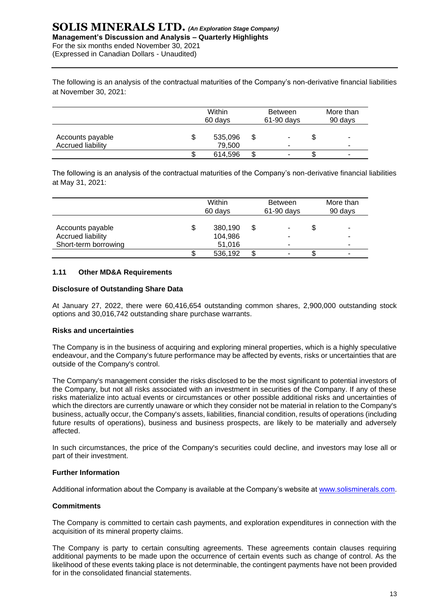The following is an analysis of the contractual maturities of the Company's non-derivative financial liabilities at November 30, 2021:

|                                              | Within<br>60 days |                   |    | <b>Between</b><br>$61-90$ days | More than<br>90 days |        |  |
|----------------------------------------------|-------------------|-------------------|----|--------------------------------|----------------------|--------|--|
| Accounts payable<br><b>Accrued liability</b> |                   | 535,096<br>79,500 | \$ | ۰<br>۰                         |                      | ۰<br>۰ |  |
|                                              |                   | 614,596           | J  |                                |                      | -      |  |

The following is an analysis of the contractual maturities of the Company's non-derivative financial liabilities at May 31, 2021:

|                                                               | Within<br>60 days |                              |  | <b>Between</b><br>$61-90$ days | More than<br>90 days |        |  |
|---------------------------------------------------------------|-------------------|------------------------------|--|--------------------------------|----------------------|--------|--|
| Accounts payable<br>Accrued liability<br>Short-term borrowing |                   | 380,190<br>104,986<br>51,016 |  | -<br>۰                         | \$                   | ۰<br>۰ |  |
|                                                               |                   | 536,192                      |  |                                | S                    | -      |  |

#### **1.11 Other MD&A Requirements**

#### **Disclosure of Outstanding Share Data**

At January 27, 2022, there were 60,416,654 outstanding common shares, 2,900,000 outstanding stock options and 30,016,742 outstanding share purchase warrants.

#### **Risks and uncertainties**

The Company is in the business of acquiring and exploring mineral properties, which is a highly speculative endeavour, and the Company's future performance may be affected by events, risks or uncertainties that are outside of the Company's control.

The Company's management consider the risks disclosed to be the most significant to potential investors of the Company, but not all risks associated with an investment in securities of the Company. If any of these risks materialize into actual events or circumstances or other possible additional risks and uncertainties of which the directors are currently unaware or which they consider not be material in relation to the Company's business, actually occur, the Company's assets, liabilities, financial condition, results of operations (including future results of operations), business and business prospects, are likely to be materially and adversely affected.

In such circumstances, the price of the Company's securities could decline, and investors may lose all or part of their investment.

#### **Further Information**

Additional information about the Company is available at the Company's website at [www.solisminerals.com.](http://www.solisminerals.com/)

#### **Commitments**

The Company is committed to certain cash payments, and exploration expenditures in connection with the acquisition of its mineral property claims.

The Company is party to certain consulting agreements. These agreements contain clauses requiring additional payments to be made upon the occurrence of certain events such as change of control. As the likelihood of these events taking place is not determinable, the contingent payments have not been provided for in the consolidated financial statements.